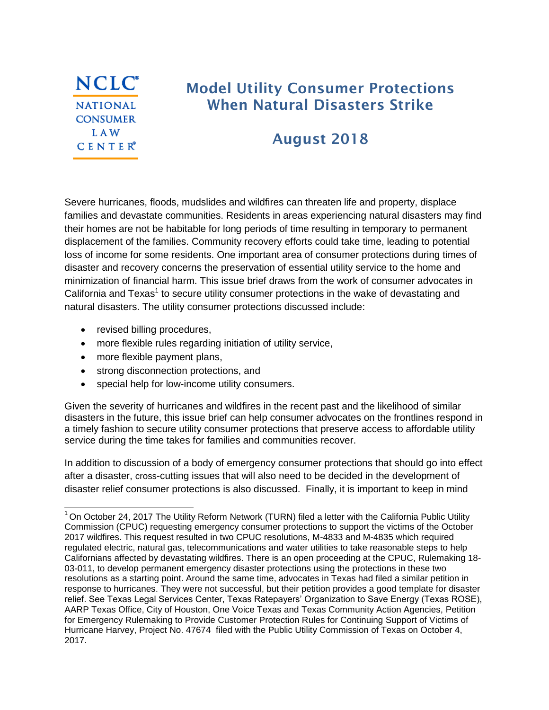

# **Model Utility Consumer Protections When Natural Disasters Strike**

# **August 2018**

Severe hurricanes, floods, mudslides and wildfires can threaten life and property, displace families and devastate communities. Residents in areas experiencing natural disasters may find their homes are not be habitable for long periods of time resulting in temporary to permanent displacement of the families. Community recovery efforts could take time, leading to potential loss of income for some residents. One important area of consumer protections during times of disaster and recovery concerns the preservation of essential utility service to the home and minimization of financial harm. This issue brief draws from the work of consumer advocates in California and Texas<sup>1</sup> to secure utility consumer protections in the wake of devastating and natural disasters. The utility consumer protections discussed include:

• revised billing procedures,

- more flexible rules regarding initiation of utility service,
- more flexible payment plans,
- strong disconnection protections, and
- special help for low-income utility consumers.

Given the severity of hurricanes and wildfires in the recent past and the likelihood of similar disasters in the future, this issue brief can help consumer advocates on the frontlines respond in a timely fashion to secure utility consumer protections that preserve access to affordable utility service during the time takes for families and communities recover.

In addition to discussion of a body of emergency consumer protections that should go into effect after a disaster, cross-cutting issues that will also need to be decided in the development of disaster relief consumer protections is also discussed. Finally, it is important to keep in mind

 $1$  On October 24, 2017 The Utility Reform Network (TURN) filed a letter with the California Public Utility Commission (CPUC) requesting emergency consumer protections to support the victims of the October 2017 wildfires. This request resulted in two CPUC resolutions, M-4833 and M-4835 which required regulated electric, natural gas, telecommunications and water utilities to take reasonable steps to help Californians affected by devastating wildfires. There is an open proceeding at the CPUC, Rulemaking 18- 03-011, to develop permanent emergency disaster protections using the protections in these two resolutions as a starting point. Around the same time, advocates in Texas had filed a similar petition in response to hurricanes. They were not successful, but their petition provides a good template for disaster relief. See Texas Legal Services Center, Texas Ratepayers" Organization to Save Energy (Texas ROSE), AARP Texas Office, City of Houston, One Voice Texas and Texas Community Action Agencies, [Petition](http://interchange.puc.texas.gov/Documents/47674_1_957016.PDF)  [for Emergency Rulemaking to Provide Customer Protection Rules for Continuing Support of Victims of](http://interchange.puc.texas.gov/Documents/47674_1_957016.PDF)  [Hurricane Harvey,](http://interchange.puc.texas.gov/Documents/47674_1_957016.PDF) Project No. 47674 filed with the Public Utility Commission of Texas on October 4, 2017.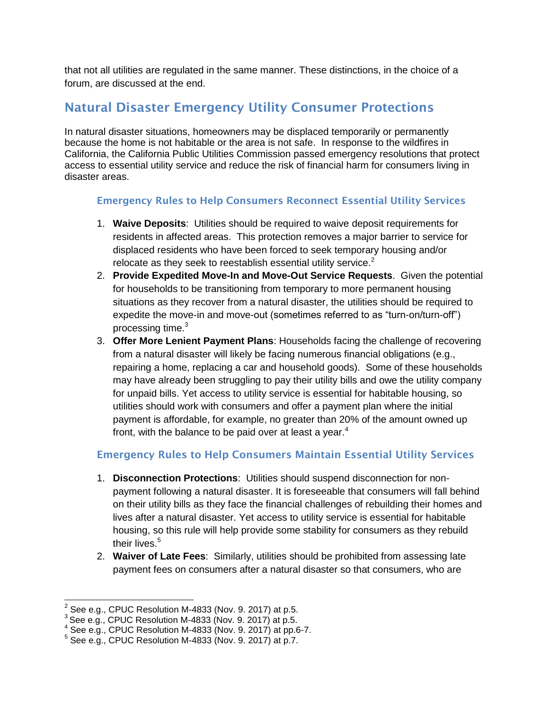that not all utilities are regulated in the same manner. These distinctions, in the choice of a forum, are discussed at the end.

### **Natural Disaster Emergency Utility Consumer Protections**

In natural disaster situations, homeowners may be displaced temporarily or permanently because the home is not habitable or the area is not safe. In response to the wildfires in California, the California Public Utilities Commission passed emergency resolutions that protect access to essential utility service and reduce the risk of financial harm for consumers living in disaster areas.

#### **Emergency Rules to Help Consumers Reconnect Essential Utility Services**

- 1. **Waive Deposits**: Utilities should be required to waive deposit requirements for residents in affected areas. This protection removes a major barrier to service for displaced residents who have been forced to seek temporary housing and/or relocate as they seek to reestablish essential utility service. $2$
- 2. **Provide Expedited Move-In and Move-Out Service Requests**. Given the potential for households to be transitioning from temporary to more permanent housing situations as they recover from a natural disaster, the utilities should be required to expedite the move-in and move-out (sometimes referred to as "turn-on/turn-off") processing time.<sup>3</sup>
- 3. **Offer More Lenient Payment Plans**: Households facing the challenge of recovering from a natural disaster will likely be facing numerous financial obligations (e.g., repairing a home, replacing a car and household goods). Some of these households may have already been struggling to pay their utility bills and owe the utility company for unpaid bills. Yet access to utility service is essential for habitable housing, so utilities should work with consumers and offer a payment plan where the initial payment is affordable, for example, no greater than 20% of the amount owned up front, with the balance to be paid over at least a year. $4$

#### **Emergency Rules to Help Consumers Maintain Essential Utility Services**

- 1. **Disconnection Protections**: Utilities should suspend disconnection for nonpayment following a natural disaster. It is foreseeable that consumers will fall behind on their utility bills as they face the financial challenges of rebuilding their homes and lives after a natural disaster. Yet access to utility service is essential for habitable housing, so this rule will help provide some stability for consumers as they rebuild their lives. $^5\,$
- 2. **Waiver of Late Fees**: Similarly, utilities should be prohibited from assessing late payment fees on consumers after a natural disaster so that consumers, who are

 2 See e.g., CPUC Resolution M-4833 (Nov. 9. 2017) at p.5.

 $3$  See e.g., CPUC Resolution M-4833 (Nov. 9. 2017) at p.5.

 $4$  See e.g., CPUC Resolution M-4833 (Nov. 9. 2017) at pp.6-7.

 $5$  See e.g., CPUC Resolution M-4833 (Nov. 9. 2017) at p.7.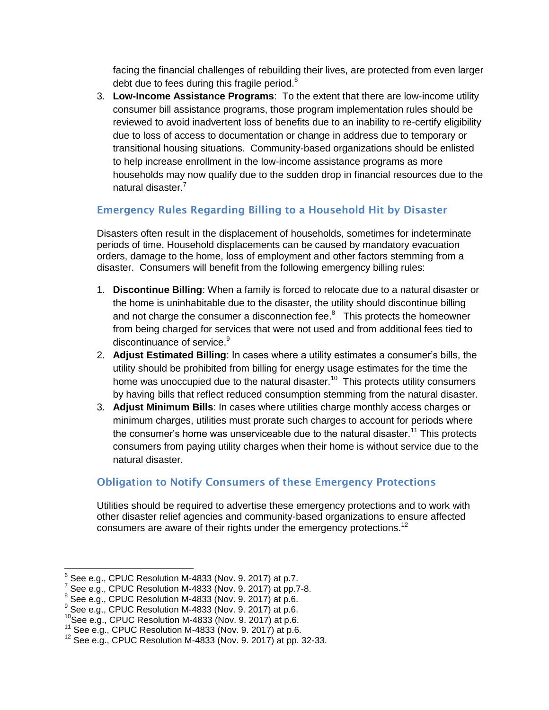facing the financial challenges of rebuilding their lives, are protected from even larger debt due to fees during this fragile period. $6$ 

3. **Low-Income Assistance Programs**: To the extent that there are low-income utility consumer bill assistance programs, those program implementation rules should be reviewed to avoid inadvertent loss of benefits due to an inability to re-certify eligibility due to loss of access to documentation or change in address due to temporary or transitional housing situations. Community-based organizations should be enlisted to help increase enrollment in the low-income assistance programs as more households may now qualify due to the sudden drop in financial resources due to the natural disaster.<sup>7</sup>

### **Emergency Rules Regarding Billing to a Household Hit by Disaster**

Disasters often result in the displacement of households, sometimes for indeterminate periods of time. Household displacements can be caused by mandatory evacuation orders, damage to the home, loss of employment and other factors stemming from a disaster. Consumers will benefit from the following emergency billing rules:

- 1. **Discontinue Billing**: When a family is forced to relocate due to a natural disaster or the home is uninhabitable due to the disaster, the utility should discontinue billing and not charge the consumer a disconnection fee. $8$  This protects the homeowner from being charged for services that were not used and from additional fees tied to discontinuance of service.<sup>9</sup>
- 2. **Adjust Estimated Billing**: In cases where a utility estimates a consumer"s bills, the utility should be prohibited from billing for energy usage estimates for the time the home was unoccupied due to the natural disaster.<sup>10</sup> This protects utility consumers by having bills that reflect reduced consumption stemming from the natural disaster.
- 3. **Adjust Minimum Bills**: In cases where utilities charge monthly access charges or minimum charges, utilities must prorate such charges to account for periods where the consumer's home was unserviceable due to the natural disaster.<sup>11</sup> This protects consumers from paying utility charges when their home is without service due to the natural disaster.

### **Obligation to Notify Consumers of these Emergency Protections**

Utilities should be required to advertise these emergency protections and to work with other disaster relief agencies and community-based organizations to ensure affected consumers are aware of their rights under the emergency protections.<sup>12</sup>

  $^6$  See e.g., CPUC Resolution M-4833 (Nov. 9. 2017) at p.7.

<sup>7</sup> See e.g., CPUC Resolution M-4833 (Nov. 9. 2017) at pp.7-8.

 $8$  See e.g., CPUC Resolution M-4833 (Nov. 9. 2017) at p.6.

 $9$  See e.g., CPUC Resolution M-4833 (Nov. 9. 2017) at p.6.

 $10$ See e.g., CPUC Resolution M-4833 (Nov. 9. 2017) at p.6.

<sup>&</sup>lt;sup>11</sup> See e.g., CPUC Resolution M-4833 (Nov. 9. 2017) at p.6.

<sup>12</sup> See e.g., CPUC Resolution M-4833 (Nov. 9. 2017) at pp. 32-33.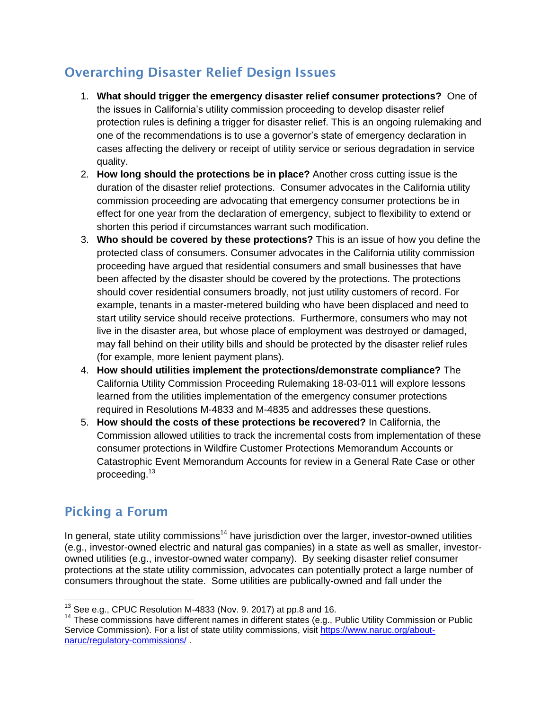## **Overarching Disaster Relief Design Issues**

- 1. **What should trigger the emergency disaster relief consumer protections?** One of the issues in California"s utility commission proceeding to develop disaster relief protection rules is defining a trigger for disaster relief. This is an ongoing rulemaking and one of the recommendations is to use a governor"s state of emergency declaration in cases affecting the delivery or receipt of utility service or serious degradation in service quality.
- 2. **How long should the protections be in place?** Another cross cutting issue is the duration of the disaster relief protections. Consumer advocates in the California utility commission proceeding are advocating that emergency consumer protections be in effect for one year from the declaration of emergency, subject to flexibility to extend or shorten this period if circumstances warrant such modification.
- 3. **Who should be covered by these protections?** This is an issue of how you define the protected class of consumers. Consumer advocates in the California utility commission proceeding have argued that residential consumers and small businesses that have been affected by the disaster should be covered by the protections. The protections should cover residential consumers broadly, not just utility customers of record. For example, tenants in a master-metered building who have been displaced and need to start utility service should receive protections. Furthermore, consumers who may not live in the disaster area, but whose place of employment was destroyed or damaged, may fall behind on their utility bills and should be protected by the disaster relief rules (for example, more lenient payment plans).
- 4. **How should utilities implement the protections/demonstrate compliance?** The California Utility Commission Proceeding Rulemaking 18-03-011 will explore lessons learned from the utilities implementation of the emergency consumer protections required in Resolutions M-4833 and M-4835 and addresses these questions.
- 5. **How should the costs of these protections be recovered?** In California, the Commission allowed utilities to track the incremental costs from implementation of these consumer protections in Wildfire Customer Protections Memorandum Accounts or Catastrophic Event Memorandum Accounts for review in a General Rate Case or other proceeding.<sup>13</sup>

## **Picking a Forum**

In general, state utility commissions<sup>14</sup> have jurisdiction over the larger, investor-owned utilities (e.g., investor-owned electric and natural gas companies) in a state as well as smaller, investorowned utilities (e.g., investor-owned water company). By seeking disaster relief consumer protections at the state utility commission, advocates can potentially protect a large number of consumers throughout the state. Some utilities are publically-owned and fall under the

  $13$  See e.g., CPUC Resolution M-4833 (Nov. 9. 2017) at pp.8 and 16.

<sup>&</sup>lt;sup>14</sup> These commissions have different names in different states (e.g., Public Utility Commission or Public Service Commission). For a list of state utility commissions, visit [https://www.naruc.org/about](https://www.naruc.org/about-naruc/regulatory-commissions/)[naruc/regulatory-commissions/](https://www.naruc.org/about-naruc/regulatory-commissions/) .